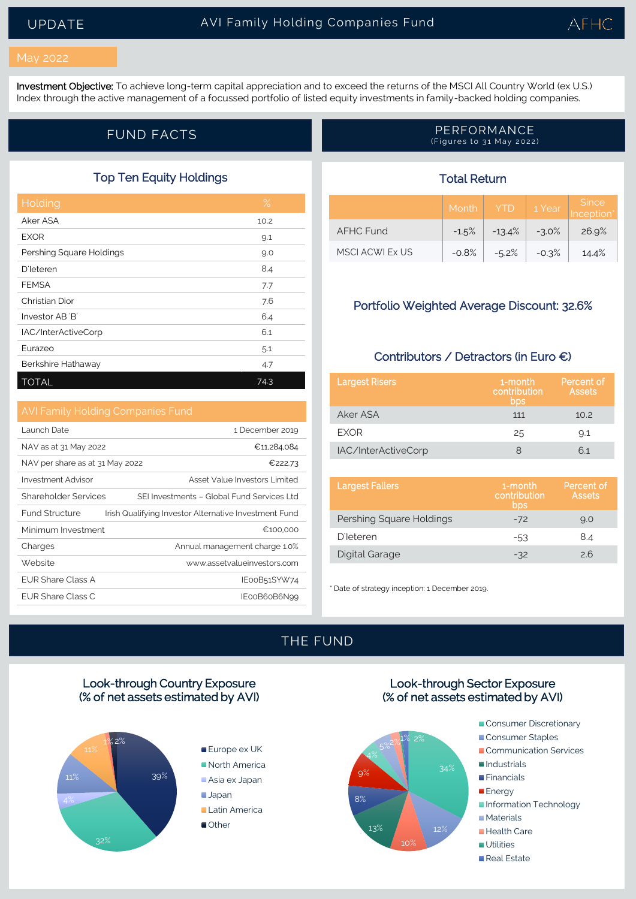#### May 2022

Investment Objective: To achieve long-term capital appreciation and to exceed the returns of the MSCI All Country World (ex U.S.) Index through the active management of a focussed portfolio of listed equity investments in family-backed holding companies.

### Top Ten Equity Holdings

| Holding                  | $\%$ |
|--------------------------|------|
| Aker ASA                 | 10.2 |
| <b>EXOR</b>              | 9.1  |
| Pershing Square Holdings | 9.0  |
| <b>D'Ieteren</b>         | 8.4  |
| <b>FEMSA</b>             | 7.7  |
| Christian Dior           | 7.6  |
| Investor AB 'B'          | 6.4  |
| IAC/InterActiveCorp      | 6.1  |
| Eurazeo                  | 5.1  |
| Berkshire Hathaway       | 4.7  |
| <b>TOTAL</b>             | 74.3 |

Launch Date 1 December 2019 NAV as at 31 May 2022  $\epsilon$  11,284,084 NAV per share as at 31 May 2022  $\epsilon$  222.73 Investment Advisor **Asset Value Investors Limited** Shareholder Services SEI Investments - Global Fund Services Ltd Fund Structure Irish Qualifying Investor Alternative Investment Fund Minimum Investment <del>€100,000</del> Charges **Charges Charges Annual management charge 1.0%** Website www.assetvalueinvestors.com EUR Share Class A **IEOOB51SYW74** EUR Share Class C **IEOOB60B6N99** 

#### FUND FACTS **PERFORMANCE** (Figures to 31 May 2022)

# Total Return

|                  | Month   | <b>YTD</b> | 1 Year  | <b>Since</b><br>Inception® |
|------------------|---------|------------|---------|----------------------------|
| <b>AFHC Fund</b> | $-1.5%$ | $-13.4%$   | $-3.0%$ | 26.9%                      |
| MSCLACWLEX US    | $-0.8%$ | $-5.2%$    | $-0.3%$ | 14.4%                      |

## Portfolio Weighted Average Discount: 32.6%

## Contributors / Detractors (in Euro €)

| <b>Largest Risers</b> | 1-month<br>contribution<br>bps | Percent of<br>Assets |
|-----------------------|--------------------------------|----------------------|
| Aker ASA              | 111                            | 10.2                 |
| <b>FXOR</b>           | 25                             | 9.1                  |
| IAC/InterActiveCorp   |                                | 61                   |

| <b>Largest Fallers</b>   | 1-month<br>contribution<br>bps | Percent of<br><b>Assets</b> |
|--------------------------|--------------------------------|-----------------------------|
| Pershing Square Holdings | $-72$                          | 9.0                         |
| <b>D'Ieteren</b>         | -53                            | 8.4                         |
| Digital Garage           | $-32$                          | 26                          |

\* Date of strategy inception: 1 December 2019.

# THE FUND

## Look-through Country Exposure (% of net assets estimated by AVI)



Europe ex UK North America Asia ex Japan Japan **Latin America** ■Other





- Consumer Discretionary
- Consumer Staples
- Communication Services
- Industrials
- Financials
- **Energy**
- **Information Technology**
- **Materials**
- **Health Care**
- **Utilities**
- Real Estate